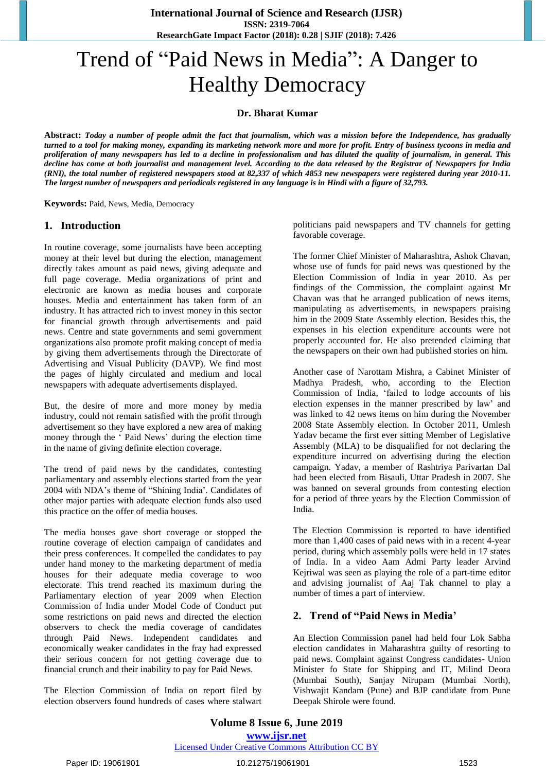# Trend of "Paid News in Media": A Danger to Healthy Democracy

### **Dr. Bharat Kumar**

Abstract: Today a number of people admit the fact that journalism, which was a mission before the Independence, has gradually turned to a tool for making money, expanding its marketing network more and more for profit. Entry of business tycoons in media and proliferation of many newspapers has led to a decline in professionalism and has diluted the quality of journalism, in general. This decline has come at both journalist and management level. According to the data released by the Registrar of Newspapers for India (RNI), the total number of registered newspapers stood at 82,337 of which 4853 new newspapers were registered during year 2010-11. The largest number of newspapers and periodicals registered in any language is in Hindi with a figure of 32,793.

**Keywords:** Paid, News, Media, Democracy

#### **1. Introduction**

In routine coverage, some journalists have been accepting money at their level but during the election, management directly takes amount as paid news, giving adequate and full page coverage. Media organizations of print and electronic are known as media houses and corporate houses. Media and entertainment has taken form of an industry. It has attracted rich to invest money in this sector for financial growth through advertisements and paid news. Centre and state governments and semi government organizations also promote profit making concept of media by giving them advertisements through the Directorate of Advertising and Visual Publicity (DAVP). We find most the pages of highly circulated and medium and local newspapers with adequate advertisements displayed.

But, the desire of more and more money by media industry, could not remain satisfied with the profit through advertisement so they have explored a new area of making money through the " Paid News" during the election time in the name of giving definite election coverage.

The trend of paid news by the candidates, contesting parliamentary and assembly elections started from the year 2004 with NDA"s theme of "Shining India". Candidates of other major parties with adequate election funds also used this practice on the offer of media houses.

The media houses gave short coverage or stopped the routine coverage of election campaign of candidates and their press conferences. It compelled the candidates to pay under hand money to the marketing department of media houses for their adequate media coverage to woo electorate. This trend reached its maximum during the Parliamentary election of year 2009 when Election Commission of India under Model Code of Conduct put some restrictions on paid news and directed the election observers to check the media coverage of candidates through Paid News. Independent candidates and economically weaker candidates in the fray had expressed their serious concern for not getting coverage due to financial crunch and their inability to pay for Paid News.

The Election Commission of India on report filed by election observers found hundreds of cases where stalwart

politicians paid newspapers and TV channels for getting favorable coverage.

The former Chief Minister of Maharashtra, Ashok Chavan, whose use of funds for paid news was questioned by the Election Commission of India in year 2010. As per findings of the Commission, the complaint against Mr Chavan was that he arranged publication of news items, manipulating as advertisements, in newspapers praising him in the 2009 State Assembly election. Besides this, the expenses in his election expenditure accounts were not properly accounted for. He also pretended claiming that the newspapers on their own had published stories on him.

Another case of Narottam Mishra, a Cabinet Minister of Madhya Pradesh, who, according to the Election Commission of India, "failed to lodge accounts of his election expenses in the manner prescribed by law" and was linked to 42 news items on him during the November 2008 State Assembly election. In October 2011, Umlesh Yadav became the first ever sitting Member of Legislative Assembly (MLA) to be disqualified for not declaring the expenditure incurred on advertising during the election campaign. Yadav, a member of Rashtriya Parivartan Dal had been elected from Bisauli, Uttar Pradesh in 2007. She was banned on several grounds from contesting election for a period of three years by the Election Commission of India.

The Election Commission is reported to have identified more than 1,400 cases of paid news with in a recent 4-year period, during which assembly polls were held in 17 states of India. In a video Aam Admi Party leader Arvind Kejriwal was seen as playing the role of a part-time editor and advising journalist of Aaj Tak channel to play a number of times a part of interview.

#### **2. Trend of "Paid News in Media'**

An Election Commission panel had held four Lok Sabha election candidates in Maharashtra guilty of resorting to paid news. Complaint against Congress candidates- Union Minister fo State for Shipping and IT, Milind Deora (Mumbai South), Sanjay Nirupam (Mumbai North), Vishwajit Kandam (Pune) and BJP candidate from Pune Deepak Shirole were found.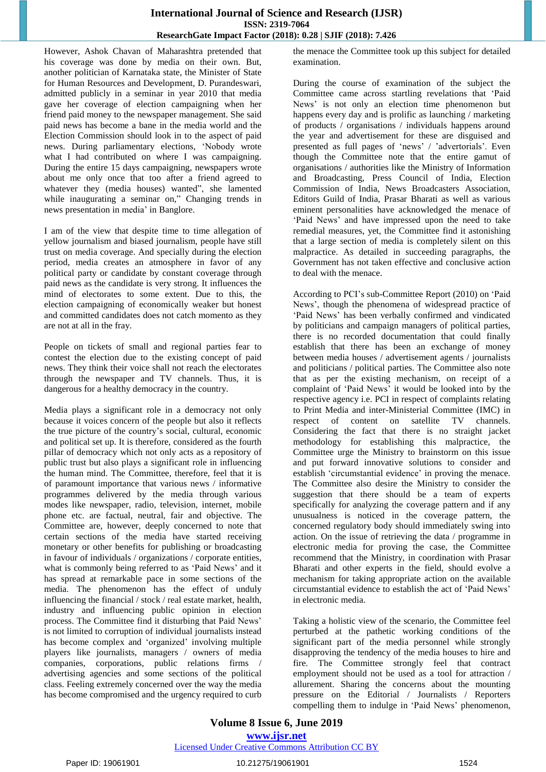However, Ashok Chavan of Maharashtra pretended that his coverage was done by media on their own. But, another politician of Karnataka state, the Minister of State for Human Resources and Development, D. Purandeswari, admitted publicly in a seminar in year 2010 that media gave her coverage of election campaigning when her friend paid money to the newspaper management. She said paid news has become a bane in the media world and the Election Commission should look in to the aspect of paid news. During parliamentary elections, "Nobody wrote what I had contributed on where I was campaigning. During the entire 15 days campaigning, newspapers wrote about me only once that too after a friend agreed to whatever they (media houses) wanted", she lamented while inaugurating a seminar on," Changing trends in news presentation in media" in Banglore.

I am of the view that despite time to time allegation of yellow journalism and biased journalism, people have still trust on media coverage. And specially during the election period, media creates an atmosphere in favor of any political party or candidate by constant coverage through paid news as the candidate is very strong. It influences the mind of electorates to some extent. Due to this, the election campaigning of economically weaker but honest and committed candidates does not catch momento as they are not at all in the fray.

People on tickets of small and regional parties fear to contest the election due to the existing concept of paid news. They think their voice shall not reach the electorates through the newspaper and TV channels. Thus, it is dangerous for a healthy democracy in the country.

Media plays a significant role in a democracy not only because it voices concern of the people but also it reflects the true picture of the country"s social, cultural, economic and political set up. It is therefore, considered as the fourth pillar of democracy which not only acts as a repository of public trust but also plays a significant role in influencing the human mind. The Committee, therefore, feel that it is of paramount importance that various news / informative programmes delivered by the media through various modes like newspaper, radio, television, internet, mobile phone etc. are factual, neutral, fair and objective. The Committee are, however, deeply concerned to note that certain sections of the media have started receiving monetary or other benefits for publishing or broadcasting in favour of individuals / organizations / corporate entities, what is commonly being referred to as 'Paid News' and it has spread at remarkable pace in some sections of the media. The phenomenon has the effect of unduly influencing the financial / stock / real estate market, health, industry and influencing public opinion in election process. The Committee find it disturbing that Paid News" is not limited to corruption of individual journalists instead has become complex and 'organized' involving multiple players like journalists, managers / owners of media companies, corporations, public relations firms / advertising agencies and some sections of the political class. Feeling extremely concerned over the way the media has become compromised and the urgency required to curb

the menace the Committee took up this subject for detailed examination.

During the course of examination of the subject the Committee came across startling revelations that "Paid News' is not only an election time phenomenon but happens every day and is prolific as launching / marketing of products / organisations / individuals happens around the year and advertisement for these are disguised and presented as full pages of "news" / "advertorials". Even though the Committee note that the entire gamut of organisations / authorities like the Ministry of Information and Broadcasting, Press Council of India, Election Commission of India, News Broadcasters Association, Editors Guild of India, Prasar Bharati as well as various eminent personalities have acknowledged the menace of 'Paid News' and have impressed upon the need to take remedial measures, yet, the Committee find it astonishing that a large section of media is completely silent on this malpractice. As detailed in succeeding paragraphs, the Government has not taken effective and conclusive action to deal with the menace.

According to PCI"s sub-Committee Report (2010) on "Paid News", though the phenomena of widespread practice of 'Paid News' has been verbally confirmed and vindicated by politicians and campaign managers of political parties, there is no recorded documentation that could finally establish that there has been an exchange of money between media houses / advertisement agents / journalists and politicians / political parties. The Committee also note that as per the existing mechanism, on receipt of a complaint of "Paid News" it would be looked into by the respective agency i.e. PCI in respect of complaints relating to Print Media and inter-Ministerial Committee (IMC) in respect of content on satellite TV channels. Considering the fact that there is no straight jacket methodology for establishing this malpractice, the Committee urge the Ministry to brainstorm on this issue and put forward innovative solutions to consider and establish 'circumstantial evidence' in proving the menace. The Committee also desire the Ministry to consider the suggestion that there should be a team of experts specifically for analyzing the coverage pattern and if any unusualness is noticed in the coverage pattern, the concerned regulatory body should immediately swing into action. On the issue of retrieving the data / programme in electronic media for proving the case, the Committee recommend that the Ministry, in coordination with Prasar Bharati and other experts in the field, should evolve a mechanism for taking appropriate action on the available circumstantial evidence to establish the act of "Paid News" in electronic media.

Taking a holistic view of the scenario, the Committee feel perturbed at the pathetic working conditions of the significant part of the media personnel while strongly disapproving the tendency of the media houses to hire and fire. The Committee strongly feel that contract employment should not be used as a tool for attraction / allurement. Sharing the concerns about the mounting pressure on the Editorial / Journalists / Reporters compelling them to indulge in "Paid News" phenomenon,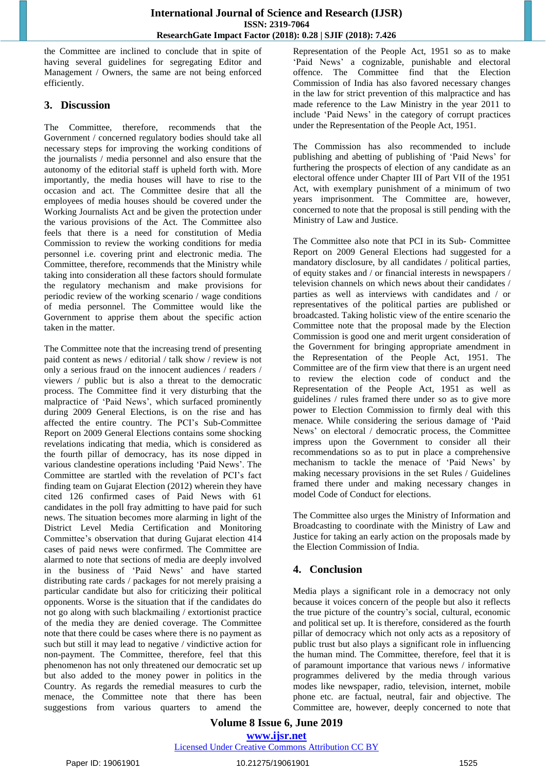## **International Journal of Science and Research (IJSR) ISSN: 2319-7064 ResearchGate Impact Factor (2018): 0.28 | SJIF (2018): 7.426**

the Committee are inclined to conclude that in spite of having several guidelines for segregating Editor and Management / Owners, the same are not being enforced efficiently.

# **3. Discussion**

The Committee, therefore, recommends that the Government / concerned regulatory bodies should take all necessary steps for improving the working conditions of the journalists / media personnel and also ensure that the autonomy of the editorial staff is upheld forth with. More importantly, the media houses will have to rise to the occasion and act. The Committee desire that all the employees of media houses should be covered under the Working Journalists Act and be given the protection under the various provisions of the Act. The Committee also feels that there is a need for constitution of Media Commission to review the working conditions for media personnel i.e. covering print and electronic media. The Committee, therefore, recommends that the Ministry while taking into consideration all these factors should formulate the regulatory mechanism and make provisions for periodic review of the working scenario / wage conditions of media personnel. The Committee would like the Government to apprise them about the specific action taken in the matter.

The Committee note that the increasing trend of presenting paid content as news / editorial / talk show / review is not only a serious fraud on the innocent audiences / readers / viewers / public but is also a threat to the democratic process. The Committee find it very disturbing that the malpractice of 'Paid News', which surfaced prominently during 2009 General Elections, is on the rise and has affected the entire country. The PCI's Sub-Committee Report on 2009 General Elections contains some shocking revelations indicating that media, which is considered as the fourth pillar of democracy, has its nose dipped in various clandestine operations including "Paid News". The Committee are startled with the revelation of PCI"s fact finding team on Gujarat Election (2012) wherein they have cited 126 confirmed cases of Paid News with 61 candidates in the poll fray admitting to have paid for such news. The situation becomes more alarming in light of the District Level Media Certification and Monitoring Committee's observation that during Gujarat election 414 cases of paid news were confirmed. The Committee are alarmed to note that sections of media are deeply involved in the business of "Paid News" and have started distributing rate cards / packages for not merely praising a particular candidate but also for criticizing their political opponents. Worse is the situation that if the candidates do not go along with such blackmailing / extortionist practice of the media they are denied coverage. The Committee note that there could be cases where there is no payment as such but still it may lead to negative / vindictive action for non-payment. The Committee, therefore, feel that this phenomenon has not only threatened our democratic set up but also added to the money power in politics in the Country. As regards the remedial measures to curb the menace, the Committee note that there has been suggestions from various quarters to amend the

Representation of the People Act, 1951 so as to make 'Paid News' a cognizable, punishable and electoral offence. The Committee find that the Election Commission of India has also favored necessary changes in the law for strict prevention of this malpractice and has made reference to the Law Ministry in the year 2011 to include "Paid News" in the category of corrupt practices under the Representation of the People Act, 1951.

The Commission has also recommended to include publishing and abetting of publishing of "Paid News" for furthering the prospects of election of any candidate as an electoral offence under Chapter III of Part VII of the 1951 Act, with exemplary punishment of a minimum of two years imprisonment. The Committee are, however, concerned to note that the proposal is still pending with the Ministry of Law and Justice.

The Committee also note that PCI in its Sub- Committee Report on 2009 General Elections had suggested for a mandatory disclosure, by all candidates / political parties, of equity stakes and / or financial interests in newspapers / television channels on which news about their candidates / parties as well as interviews with candidates and / or representatives of the political parties are published or broadcasted. Taking holistic view of the entire scenario the Committee note that the proposal made by the Election Commission is good one and merit urgent consideration of the Government for bringing appropriate amendment in the Representation of the People Act, 1951. The Committee are of the firm view that there is an urgent need to review the election code of conduct and the Representation of the People Act, 1951 as well as guidelines / rules framed there under so as to give more power to Election Commission to firmly deal with this menace. While considering the serious damage of "Paid News" on electoral / democratic process, the Committee impress upon the Government to consider all their recommendations so as to put in place a comprehensive mechanism to tackle the menace of "Paid News" by making necessary provisions in the set Rules / Guidelines framed there under and making necessary changes in model Code of Conduct for elections.

The Committee also urges the Ministry of Information and Broadcasting to coordinate with the Ministry of Law and Justice for taking an early action on the proposals made by the Election Commission of India.

# **4. Conclusion**

Media plays a significant role in a democracy not only because it voices concern of the people but also it reflects the true picture of the country"s social, cultural, economic and political set up. It is therefore, considered as the fourth pillar of democracy which not only acts as a repository of public trust but also plays a significant role in influencing the human mind. The Committee, therefore, feel that it is of paramount importance that various news / informative programmes delivered by the media through various modes like newspaper, radio, television, internet, mobile phone etc. are factual, neutral, fair and objective. The Committee are, however, deeply concerned to note that

## **Volume 8 Issue 6, June 2019 www.ijsr.net**

## Licensed Under Creative Commons Attribution CC BY